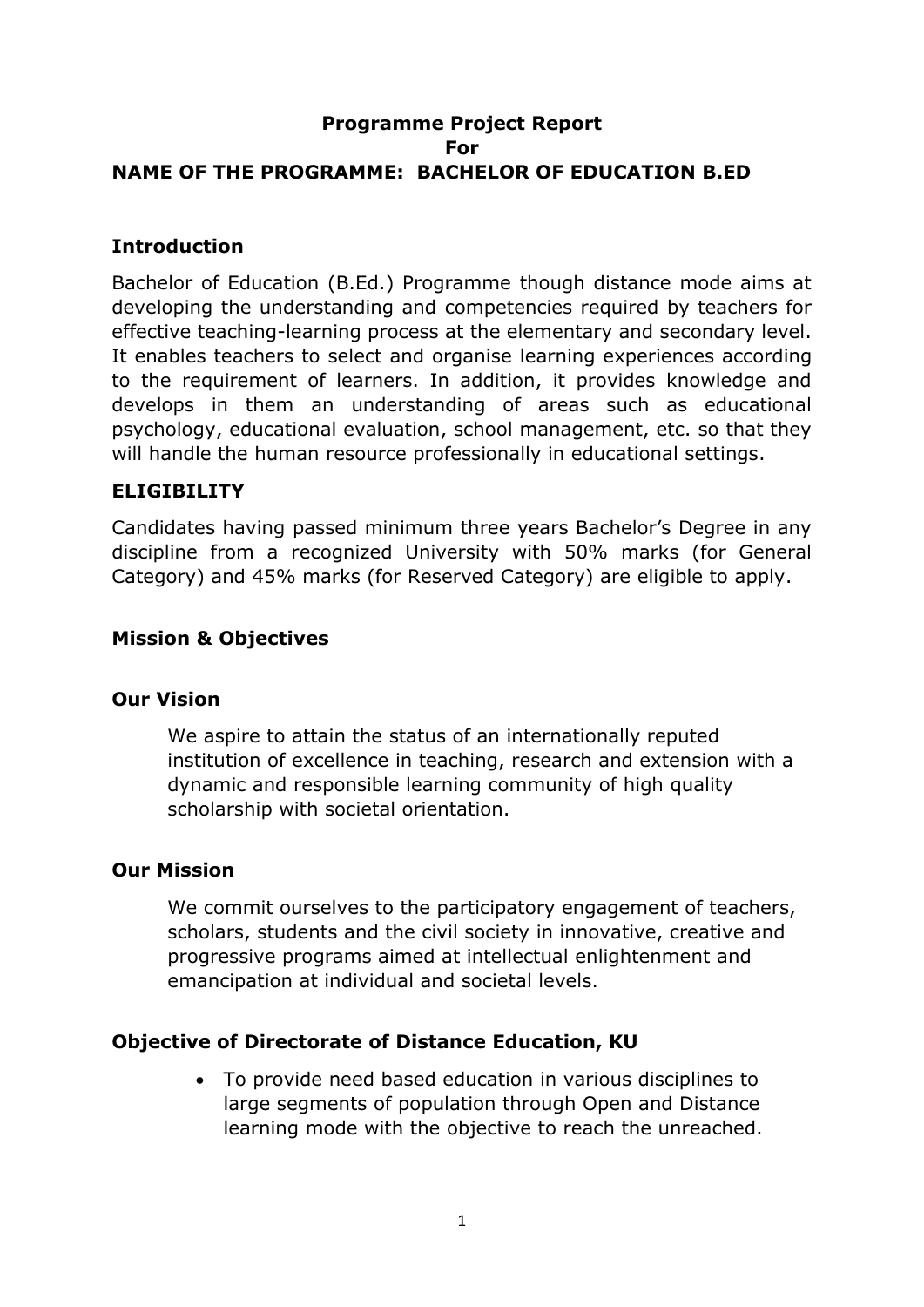## **Programme Project Report For NAME OF THE PROGRAMME: BACHELOR OF EDUCATION B.ED**

#### **Introduction**

Bachelor of Education (B.Ed.) Programme though distance mode aims at developing the understanding and competencies required by teachers for effective teaching-learning process at the elementary and secondary level. It enables teachers to select and organise learning experiences according to the requirement of learners. In addition, it provides knowledge and develops in them an understanding of areas such as educational psychology, educational evaluation, school management, etc. so that they will handle the human resource professionally in educational settings.

### **ELIGIBILITY**

Candidates having passed minimum three years Bachelor's Degree in any discipline from a recognized University with 50% marks (for General Category) and 45% marks (for Reserved Category) are eligible to apply.

#### **Mission & Objectives**

#### **Our Vision**

We aspire to attain the status of an internationally reputed institution of excellence in teaching, research and extension with a dynamic and responsible learning community of high quality scholarship with societal orientation.

#### **Our Mission**

We commit ourselves to the participatory engagement of teachers, scholars, students and the civil society in innovative, creative and progressive programs aimed at intellectual enlightenment and emancipation at individual and societal levels.

#### **Objective of Directorate of Distance Education, KU**

 To provide need based education in various disciplines to large segments of population through Open and Distance learning mode with the objective to reach the unreached.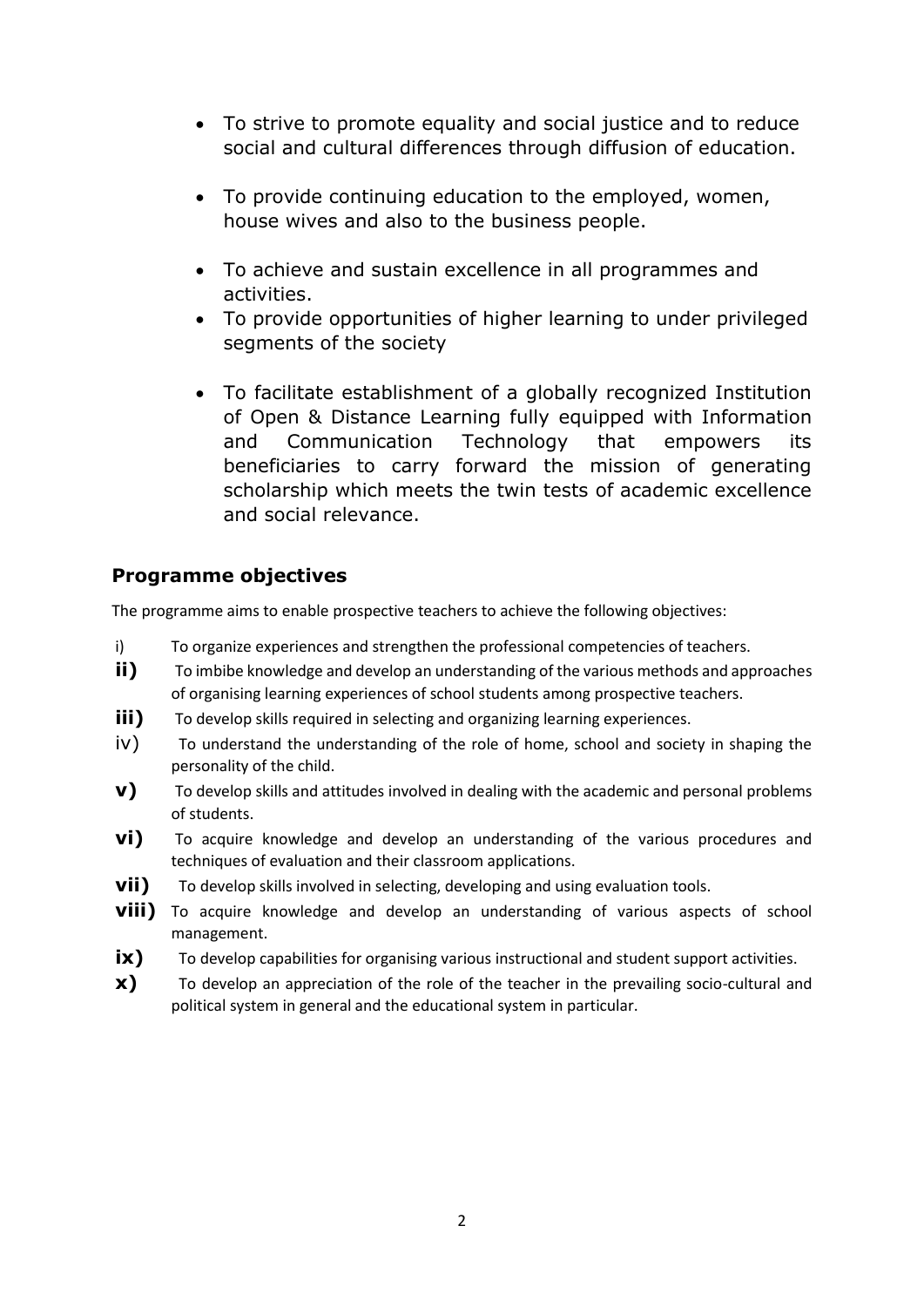- To strive to promote equality and social justice and to reduce social and cultural differences through diffusion of education.
- To provide continuing education to the employed, women, house wives and also to the business people.
- To achieve and sustain excellence in all programmes and activities.
- To provide opportunities of higher learning to under privileged segments of the society
- To facilitate establishment of a globally recognized Institution of Open & Distance Learning fully equipped with Information and Communication Technology that empowers its beneficiaries to carry forward the mission of generating scholarship which meets the twin tests of academic excellence and social relevance.

## **Programme objectives**

The programme aims to enable prospective teachers to achieve the following objectives:

- i) To organize experiences and strengthen the professional competencies of teachers.
- **ii)** To imbibe knowledge and develop an understanding of the various methods and approaches of organising learning experiences of school students among prospective teachers.
- **iii)** To develop skills required in selecting and organizing learning experiences.
- iv) To understand the understanding of the role of home, school and society in shaping the personality of the child.
- **v)** To develop skills and attitudes involved in dealing with the academic and personal problems of students.
- **vi)** To acquire knowledge and develop an understanding of the various procedures and techniques of evaluation and their classroom applications.
- **vii**) To develop skills involved in selecting, developing and using evaluation tools.
- **viii)** To acquire knowledge and develop an understanding of various aspects of school management.
- **ix)** To develop capabilities for organising various instructional and student support activities.
- **x)** To develop an appreciation of the role of the teacher in the prevailing socio-cultural and political system in general and the educational system in particular.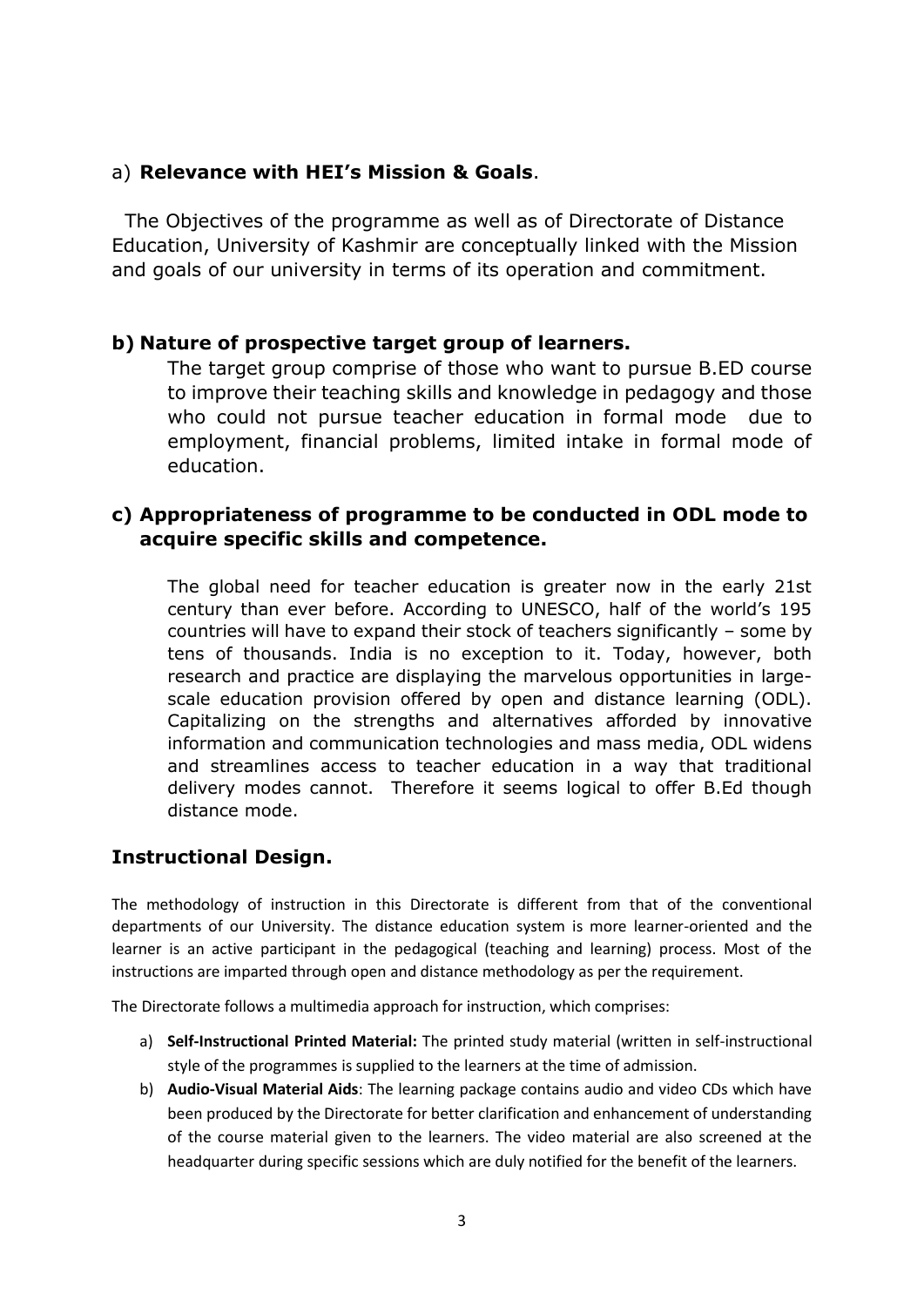#### a) **Relevance with HEI's Mission & Goals**.

 The Objectives of the programme as well as of Directorate of Distance Education, University of Kashmir are conceptually linked with the Mission and goals of our university in terms of its operation and commitment.

#### **b) Nature of prospective target group of learners.**

The target group comprise of those who want to pursue B.ED course to improve their teaching skills and knowledge in pedagogy and those who could not pursue teacher education in formal mode due to employment, financial problems, limited intake in formal mode of education.

#### **c) Appropriateness of programme to be conducted in ODL mode to acquire specific skills and competence.**

The global need for teacher education is greater now in the early 21st century than ever before. According to UNESCO, half of the world's 195 countries will have to expand their stock of teachers significantly – some by tens of thousands. India is no exception to it. Today, however, both research and practice are displaying the marvelous opportunities in largescale education provision offered by open and distance learning (ODL). Capitalizing on the strengths and alternatives afforded by innovative information and communication technologies and mass media, ODL widens and streamlines access to teacher education in a way that traditional delivery modes cannot. Therefore it seems logical to offer B.Ed though distance mode.

### **Instructional Design.**

The methodology of instruction in this Directorate is different from that of the conventional departments of our University. The distance education system is more learner-oriented and the learner is an active participant in the pedagogical (teaching and learning) process. Most of the instructions are imparted through open and distance methodology as per the requirement.

The Directorate follows a multimedia approach for instruction, which comprises:

- a) **Self-Instructional Printed Material:** The printed study material (written in self-instructional style of the programmes is supplied to the learners at the time of admission.
- b) **Audio-Visual Material Aids**: The learning package contains audio and video CDs which have been produced by the Directorate for better clarification and enhancement of understanding of the course material given to the learners. The video material are also screened at the headquarter during specific sessions which are duly notified for the benefit of the learners.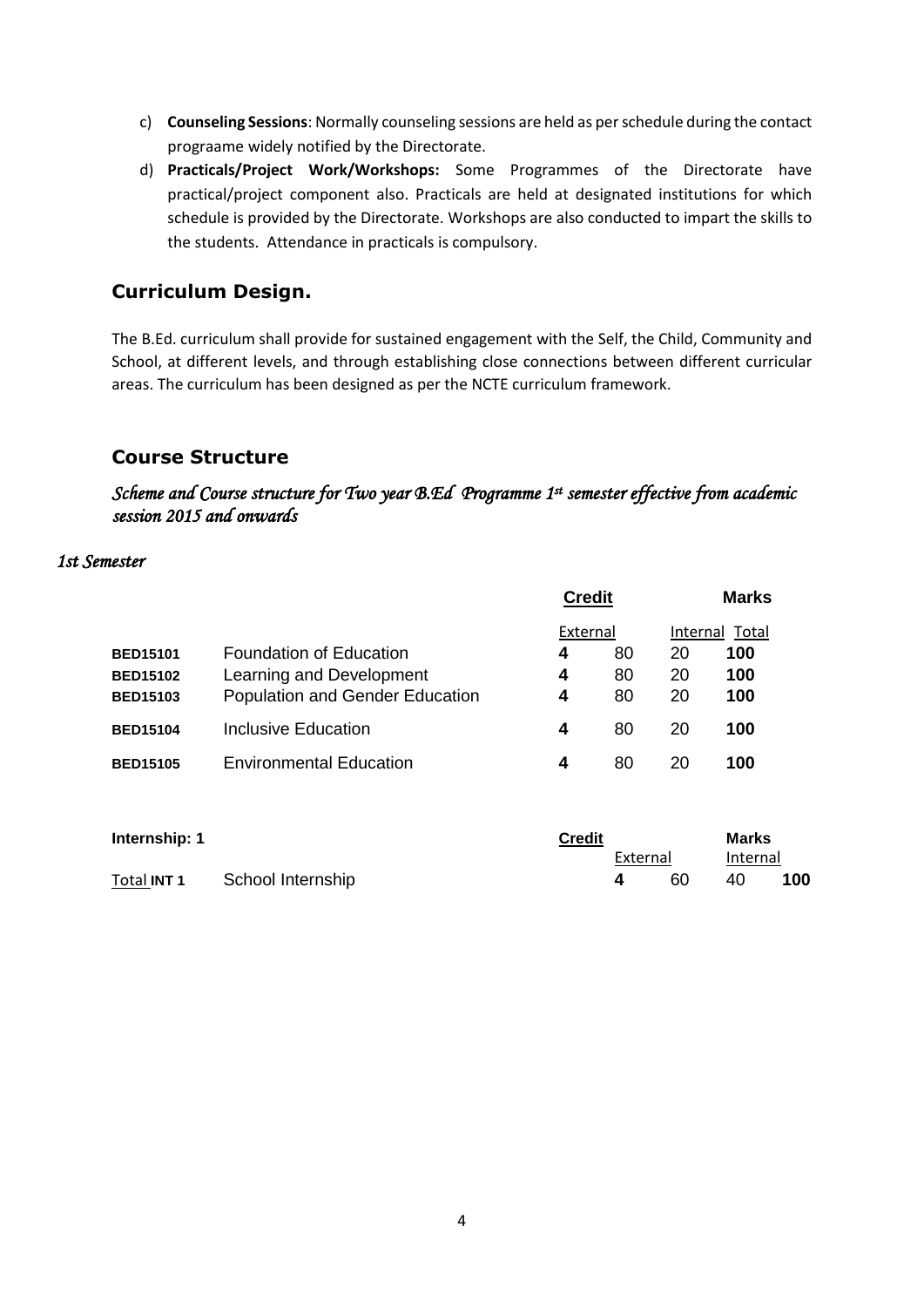- c) **Counseling Sessions**: Normally counseling sessions are held as per schedule during the contact prograame widely notified by the Directorate.
- d) **Practicals/Project Work/Workshops:** Some Programmes of the Directorate have practical/project component also. Practicals are held at designated institutions for which schedule is provided by the Directorate. Workshops are also conducted to impart the skills to the students. Attendance in practicals is compulsory.

### **Curriculum Design.**

The B.Ed. curriculum shall provide for sustained engagement with the Self, the Child, Community and School, at different levels, and through establishing close connections between different curricular areas. The curriculum has been designed as per the NCTE curriculum framework.

#### **Course Structure**

*Scheme and Course structure for Two year B.Ed Programme 1st semester effective from academic session 2015 and onwards* 

#### *1st Semester*

|                                                       |                                                                                        | <b>Credit</b> |                            | <b>Marks</b> |                                                          |  |
|-------------------------------------------------------|----------------------------------------------------------------------------------------|---------------|----------------------------|--------------|----------------------------------------------------------|--|
| <b>BED15101</b><br><b>BED15102</b><br><b>BED15103</b> | Foundation of Education<br>Learning and Development<br>Population and Gender Education | 4<br>4<br>4   | External<br>80<br>80<br>80 |              | Internal<br>Total<br>20<br>100<br>20<br>100<br>20<br>100 |  |
| <b>BED15104</b>                                       | Inclusive Education                                                                    | 4             | 80                         | 20           | 100                                                      |  |
| <b>BED15105</b>                                       | <b>Environmental Education</b>                                                         | 4             | 80                         | 20           | 100                                                      |  |
|                                                       |                                                                                        |               |                            |              |                                                          |  |

| Internship: 1      | <b>Credit</b>     |  |          | Marks |          |     |
|--------------------|-------------------|--|----------|-------|----------|-----|
|                    |                   |  | External |       | Internal |     |
| Total <b>INT 1</b> | School Internship |  |          | 60    | 40.      | 100 |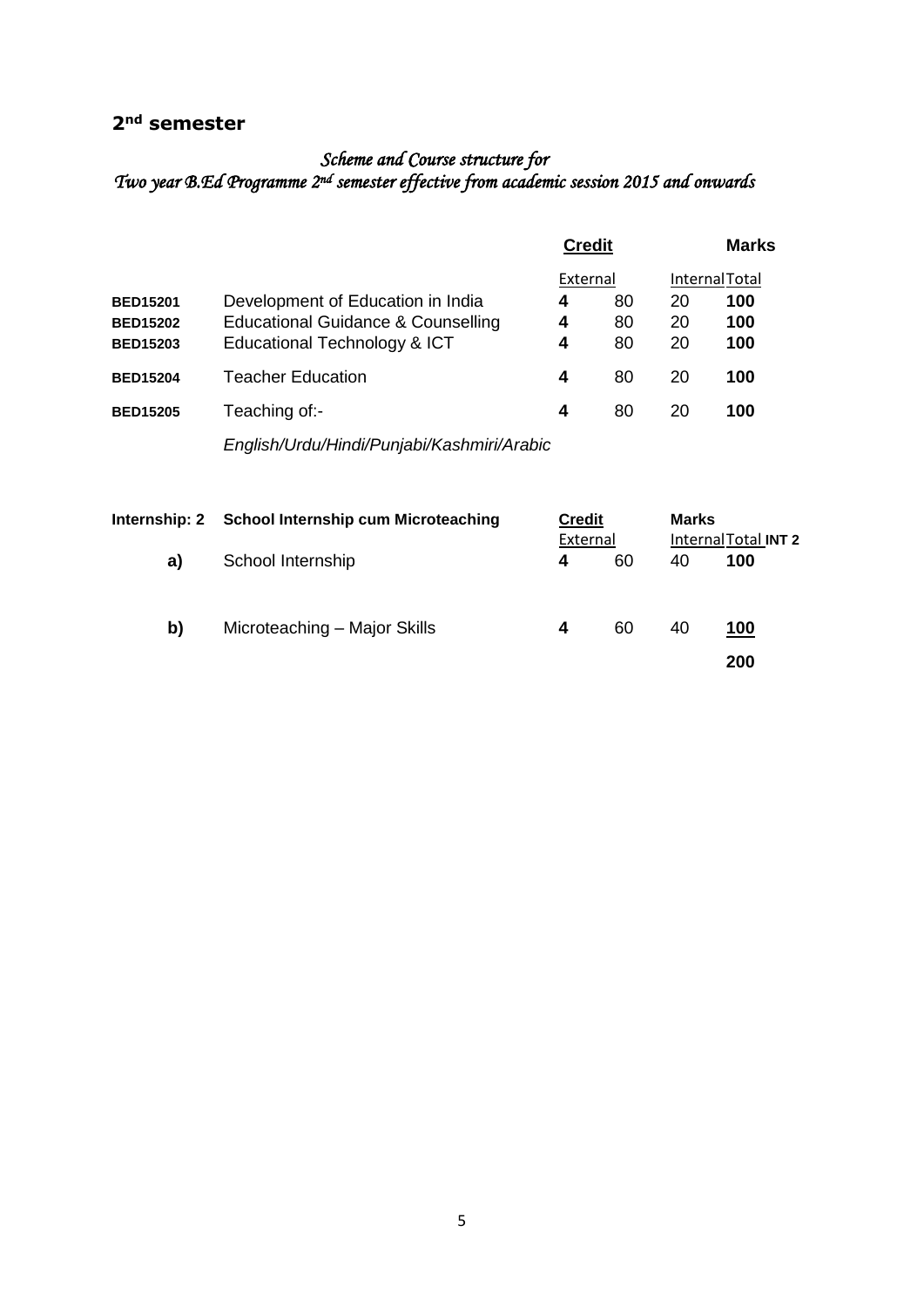# **2nd semester**

#### *Scheme and Course structure for Two year B.Ed Programme 2nd semester effective from academic session 2015 and onwards*

|                 |                                            | <b>Credit</b> |    | <b>Marks</b><br><b>Internal Total</b> |     |  |
|-----------------|--------------------------------------------|---------------|----|---------------------------------------|-----|--|
|                 |                                            | External      |    |                                       |     |  |
| <b>BED15201</b> | Development of Education in India          | 4             | 80 | 20                                    | 100 |  |
| <b>BED15202</b> | Educational Guidance & Counselling         | 4             | 80 | 20                                    | 100 |  |
| <b>BED15203</b> | Educational Technology & ICT               | 4             | 80 | 20                                    | 100 |  |
| <b>BED15204</b> | Teacher Education                          | 4             | 80 | 20                                    | 100 |  |
| <b>BED15205</b> | Teaching of:-                              | 4             | 80 | 20                                    | 100 |  |
|                 | English/Urdu/Hindi/Punjabi/Kashmiri/Arabic |               |    |                                       |     |  |
|                 |                                            |               |    |                                       |     |  |

|    | Internship: 2 School Internship cum Microteaching | <b>Credit</b> |    | Marks |                             |  |
|----|---------------------------------------------------|---------------|----|-------|-----------------------------|--|
| a) | School Internship                                 | External<br>4 | 60 | 40    | Internal Total INT 2<br>100 |  |
| b) | Microteaching - Major Skills                      | 4             | 60 | 40    | 100                         |  |
|    |                                                   |               |    |       | 200                         |  |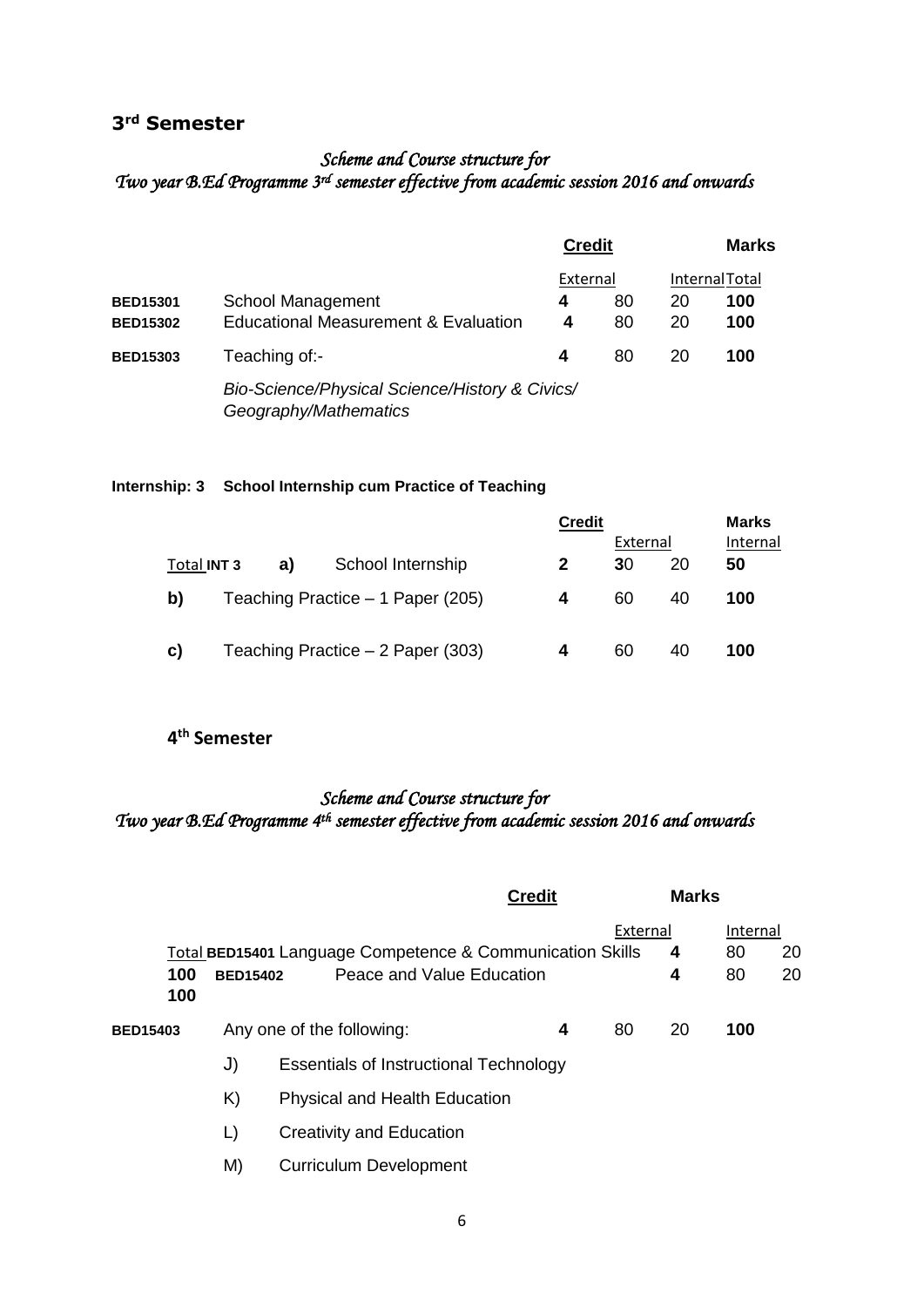#### **3rd Semester**

#### *Scheme and Course structure for Two year B.Ed Programme 3rd semester effective from academic session 2016 and onwards*

|                 |                                                                         | <b>Credit</b> |    | Marks<br><b>InternalTotal</b> |     |  |
|-----------------|-------------------------------------------------------------------------|---------------|----|-------------------------------|-----|--|
|                 |                                                                         | External      |    |                               |     |  |
| <b>BED15301</b> | <b>School Management</b>                                                | 4             | 80 | 20                            | 100 |  |
| <b>BED15302</b> | <b>Educational Measurement &amp; Evaluation</b>                         | 4             | 80 | 20                            | 100 |  |
| <b>BED15303</b> | Teaching of:-                                                           | 4             | 80 | 20                            | 100 |  |
|                 | Bio-Science/Physical Science/History & Civics/<br>Geography/Mathematics |               |    |                               |     |  |

#### **Internship: 3 School Internship cum Practice of Teaching**

|                    |    |                                   | <b>Credit</b> |          |    | <b>Marks</b> |  |
|--------------------|----|-----------------------------------|---------------|----------|----|--------------|--|
|                    |    |                                   |               | External |    | Internal     |  |
| Total <b>INT 3</b> | a) | School Internship                 | 2             | 30       | 20 | 50           |  |
| b)                 |    | Teaching Practice - 1 Paper (205) | 4             | 60       | 40 | 100          |  |
| C)                 |    | Teaching Practice - 2 Paper (303) | 4             | 60       | 40 | 100          |  |

#### **4 th Semester**

#### *Scheme and Course structure for*  Two year B.Ed Programme 4<sup>th</sup> semester effective from academic session 2016 and onwards

|                 |            |                 |                                                                                        | <b>Credit</b> |          | <b>Marks</b> |                      |          |
|-----------------|------------|-----------------|----------------------------------------------------------------------------------------|---------------|----------|--------------|----------------------|----------|
|                 | 100<br>100 | <b>BED15402</b> | Total BED15401 Language Competence & Communication Skills<br>Peace and Value Education |               | External | 4<br>4       | Internal<br>80<br>80 | 20<br>20 |
| <b>BED15403</b> |            |                 | Any one of the following:                                                              | 4             | 80       | 20           | 100                  |          |
|                 |            | J)              | <b>Essentials of Instructional Technology</b>                                          |               |          |              |                      |          |
|                 |            | K)              | Physical and Health Education                                                          |               |          |              |                      |          |
|                 |            | L)              | Creativity and Education                                                               |               |          |              |                      |          |
|                 |            | M)              | <b>Curriculum Development</b>                                                          |               |          |              |                      |          |
|                 |            |                 |                                                                                        |               |          |              |                      |          |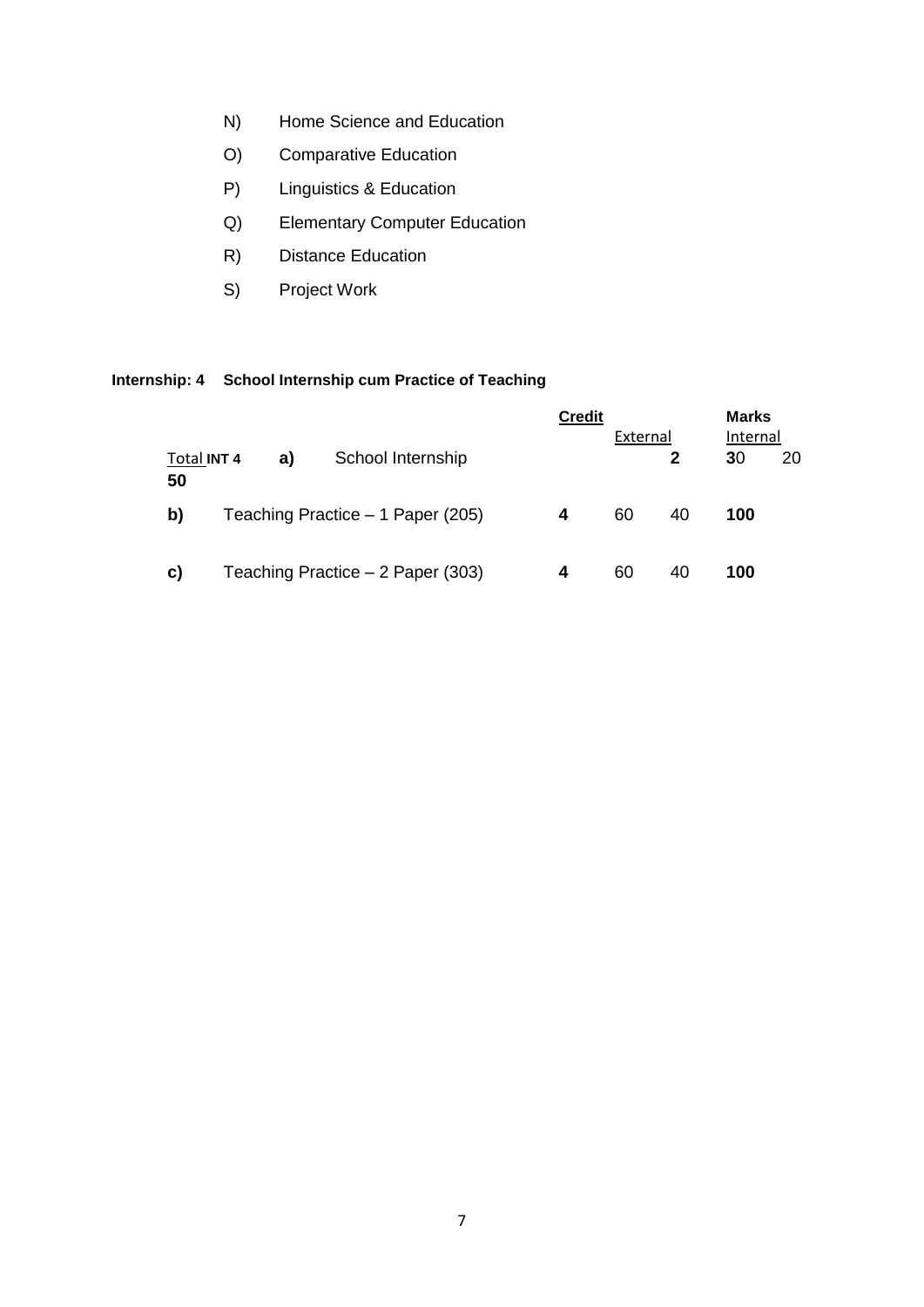- N) Home Science and Education
- O) Comparative Education
- P) Linguistics & Education
- Q) Elementary Computer Education
- R) Distance Education
- S) Project Work

#### **Internship: 4 School Internship cum Practice of Teaching**

|                   |  |    |                                   | <b>Credit</b> | External |    | <b>Marks</b><br>Internal |    |  |
|-------------------|--|----|-----------------------------------|---------------|----------|----|--------------------------|----|--|
| Total INT 4<br>50 |  | a) | School Internship                 |               |          | 2  | 30                       | 20 |  |
| b)                |  |    | Teaching Practice - 1 Paper (205) | 4             | 60       | 40 | 100                      |    |  |
| C)                |  |    | Teaching Practice – 2 Paper (303) | 4             | 60       | 40 | 100                      |    |  |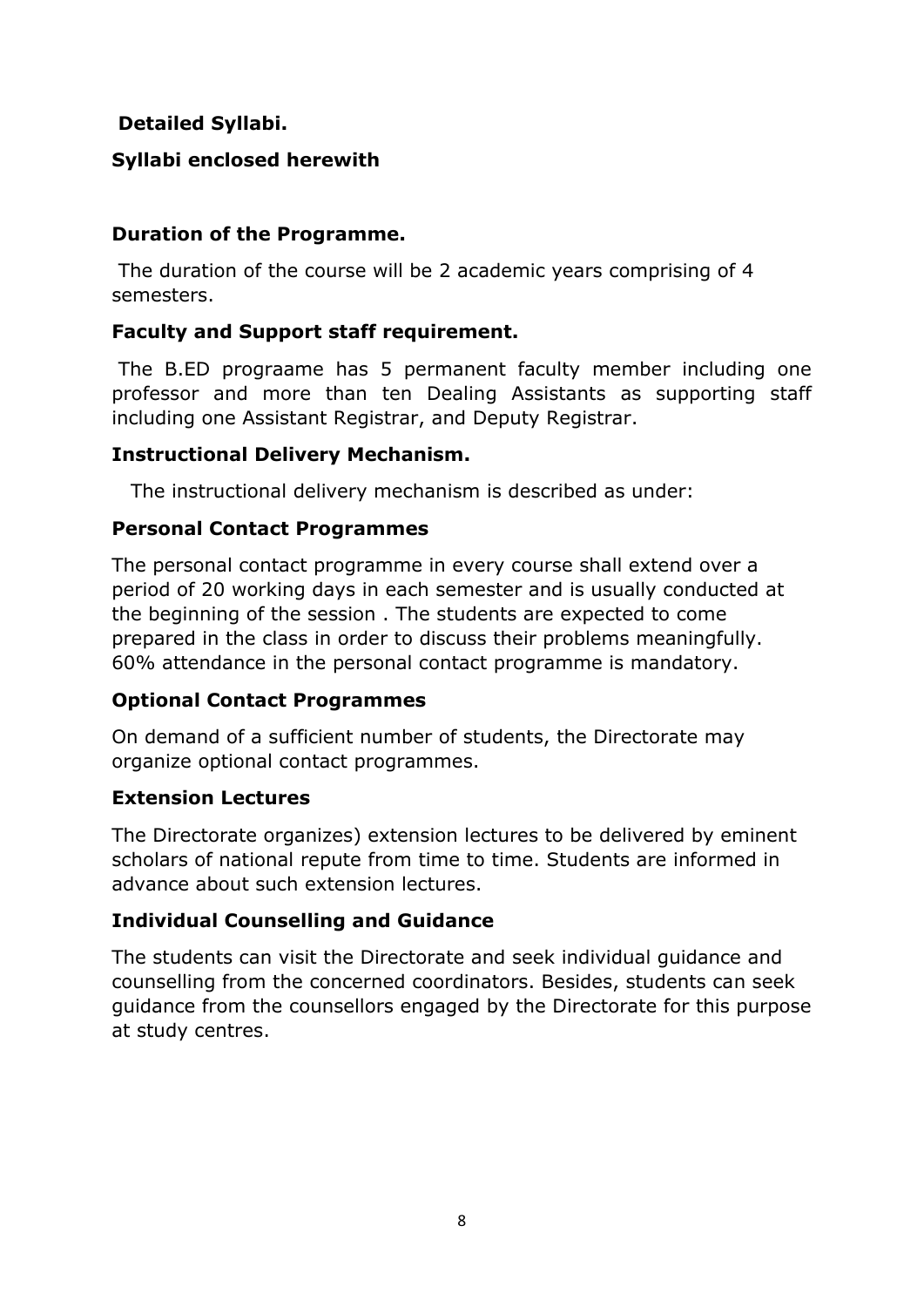## **Detailed Syllabi.**

## **Syllabi enclosed herewith**

### **Duration of the Programme.**

The duration of the course will be 2 academic years comprising of 4 semesters.

## **Faculty and Support staff requirement.**

The B.ED prograame has 5 permanent faculty member including one professor and more than ten Dealing Assistants as supporting staff including one Assistant Registrar, and Deputy Registrar.

### **Instructional Delivery Mechanism.**

The instructional delivery mechanism is described as under:

### **Personal Contact Programmes**

The personal contact programme in every course shall extend over a period of 20 working days in each semester and is usually conducted at the beginning of the session . The students are expected to come prepared in the class in order to discuss their problems meaningfully. 60% attendance in the personal contact programme is mandatory.

### **Optional Contact Programmes**

On demand of a sufficient number of students, the Directorate may organize optional contact programmes.

### **Extension Lectures**

The Directorate organizes) extension lectures to be delivered by eminent scholars of national repute from time to time. Students are informed in advance about such extension lectures.

### **Individual Counselling and Guidance**

The students can visit the Directorate and seek individual guidance and counselling from the concerned coordinators. Besides, students can seek guidance from the counsellors engaged by the Directorate for this purpose at study centres.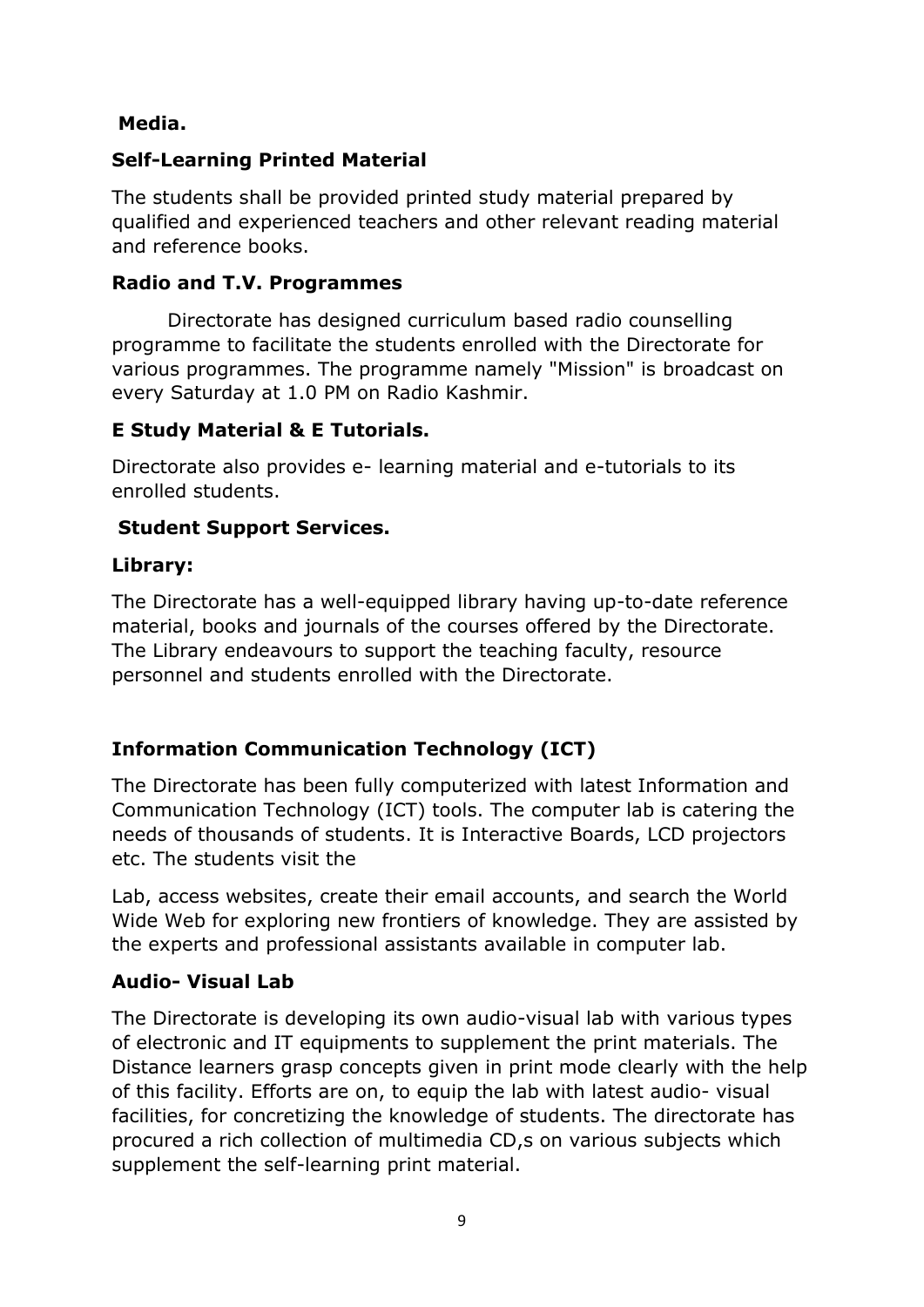## **Media.**

## **Self-Learning Printed Material**

The students shall be provided printed study material prepared by qualified and experienced teachers and other relevant reading material and reference books.

### **Radio and T.V. Programmes**

Directorate has designed curriculum based radio counselling programme to facilitate the students enrolled with the Directorate for various programmes. The programme namely "Mission" is broadcast on every Saturday at 1.0 PM on Radio Kashmir.

### **E Study Material & E Tutorials.**

Directorate also provides e- learning material and e-tutorials to its enrolled students.

## **Student Support Services.**

## **Library:**

The Directorate has a well-equipped library having up-to-date reference material, books and journals of the courses offered by the Directorate. The Library endeavours to support the teaching faculty, resource personnel and students enrolled with the Directorate.

# **Information Communication Technology (ICT)**

The Directorate has been fully computerized with latest Information and Communication Technology (ICT) tools. The computer lab is catering the needs of thousands of students. It is Interactive Boards, LCD projectors etc. The students visit the

Lab, access websites, create their email accounts, and search the World Wide Web for exploring new frontiers of knowledge. They are assisted by the experts and professional assistants available in computer lab.

## **Audio- Visual Lab**

The Directorate is developing its own audio-visual lab with various types of electronic and IT equipments to supplement the print materials. The Distance learners grasp concepts given in print mode clearly with the help of this facility. Efforts are on, to equip the lab with latest audio- visual facilities, for concretizing the knowledge of students. The directorate has procured a rich collection of multimedia CD,s on various subjects which supplement the self-learning print material.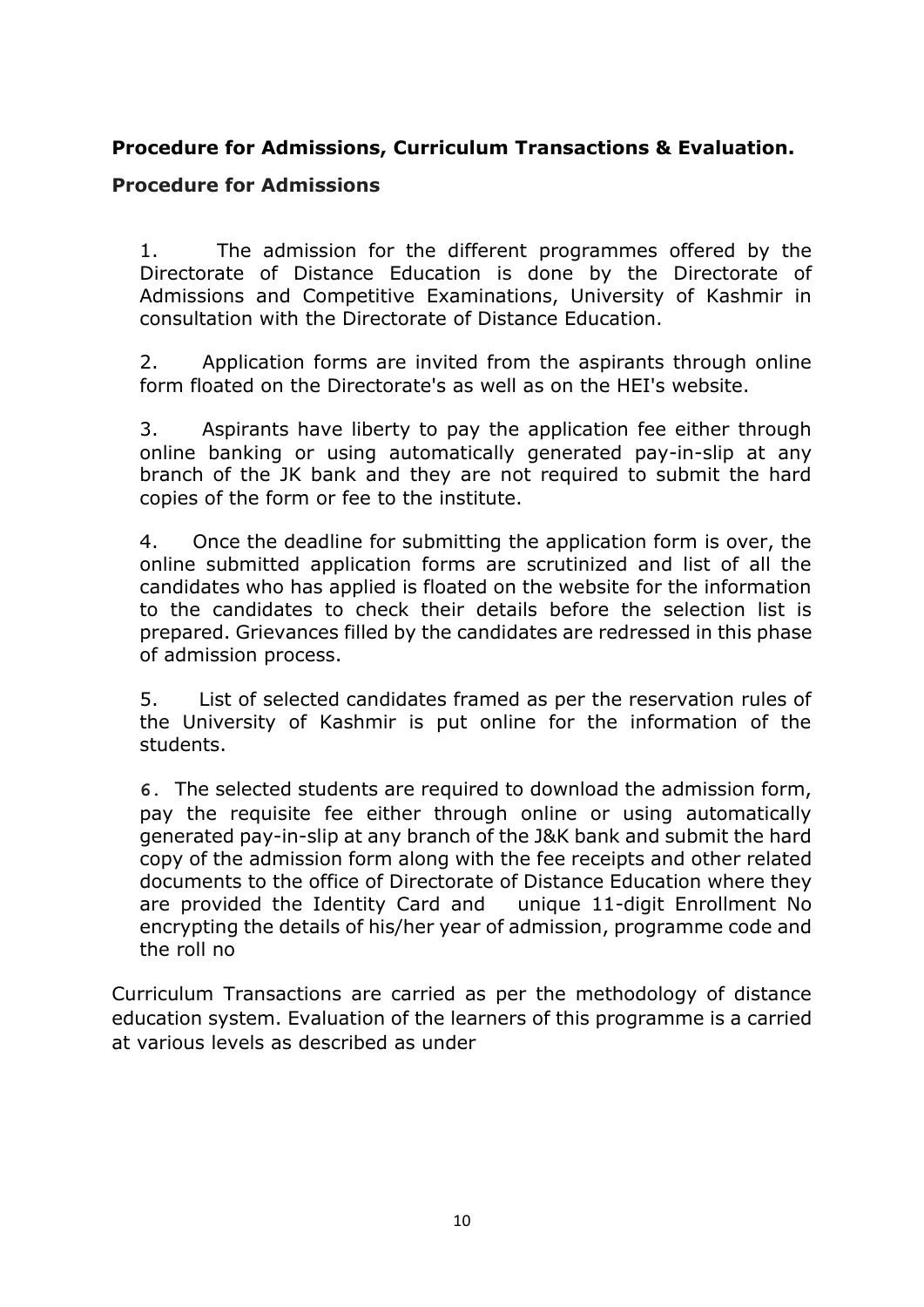## **Procedure for Admissions, Curriculum Transactions & Evaluation.**

#### **Procedure for Admissions**

1. The admission for the different programmes offered by the Directorate of Distance Education is done by the Directorate of Admissions and Competitive Examinations, University of Kashmir in consultation with the Directorate of Distance Education.

2. Application forms are invited from the aspirants through online form floated on the Directorate's as well as on the HEI's website.

3. Aspirants have liberty to pay the application fee either through online banking or using automatically generated pay-in-slip at any branch of the JK bank and they are not required to submit the hard copies of the form or fee to the institute.

4. Once the deadline for submitting the application form is over, the online submitted application forms are scrutinized and list of all the candidates who has applied is floated on the website for the information to the candidates to check their details before the selection list is prepared. Grievances filled by the candidates are redressed in this phase of admission process.

5. List of selected candidates framed as per the reservation rules of the University of Kashmir is put online for the information of the students.

**6.** The selected students are required to download the admission form, pay the requisite fee either through online or using automatically generated pay-in-slip at any branch of the J&K bank and submit the hard copy of the admission form along with the fee receipts and other related documents to the office of Directorate of Distance Education where they are provided the Identity Card and unique 11-digit Enrollment No encrypting the details of his/her year of admission, programme code and the roll no

Curriculum Transactions are carried as per the methodology of distance education system. Evaluation of the learners of this programme is a carried at various levels as described as under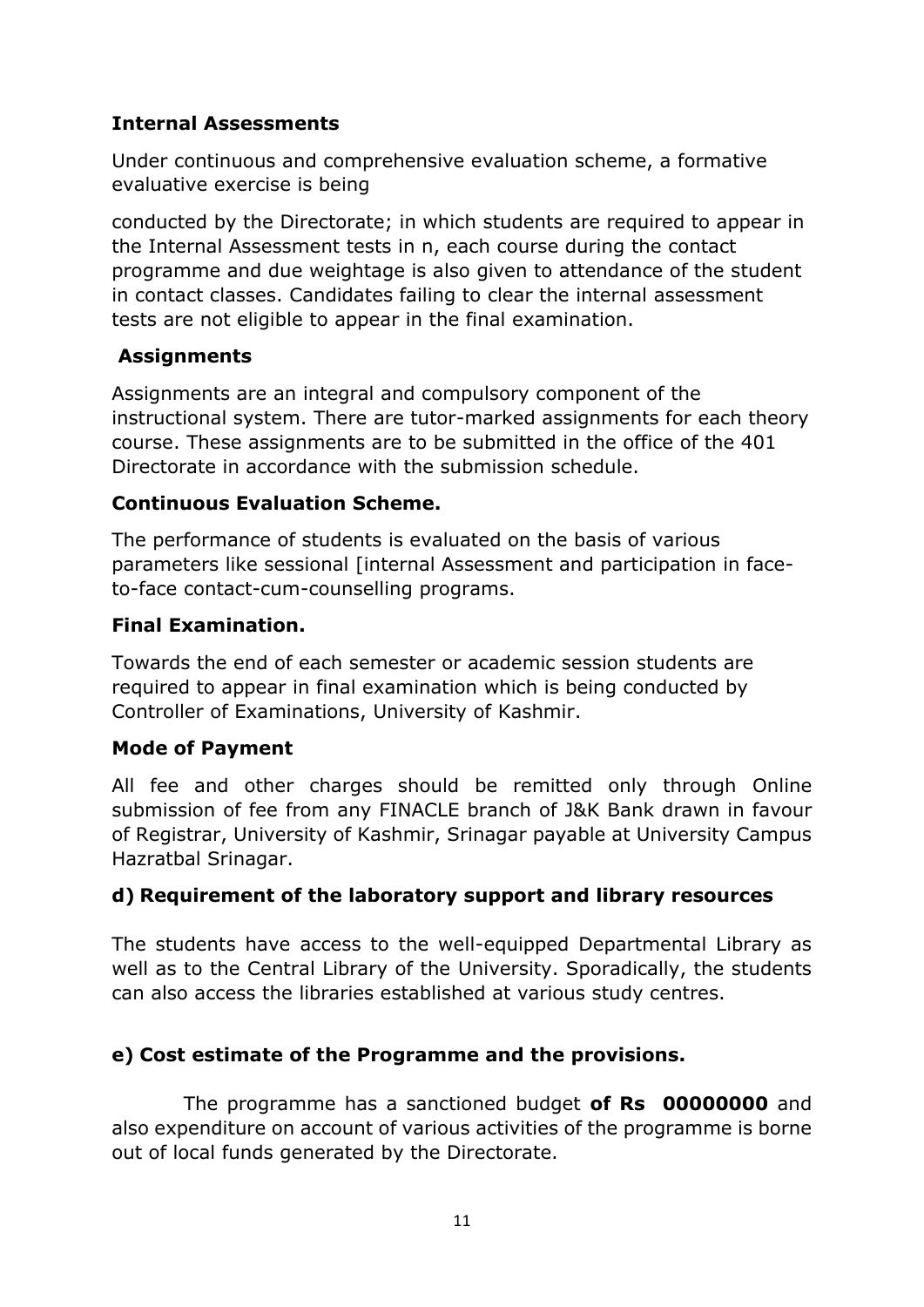## **Internal Assessments**

Under continuous and comprehensive evaluation scheme, a formative evaluative exercise is being

conducted by the Directorate; in which students are required to appear in the Internal Assessment tests in n, each course during the contact programme and due weightage is also given to attendance of the student in contact classes. Candidates failing to clear the internal assessment tests are not eligible to appear in the final examination.

## **Assignments**

Assignments are an integral and compulsory component of the instructional system. There are tutor-marked assignments for each theory course. These assignments are to be submitted in the office of the 401 Directorate in accordance with the submission schedule.

## **Continuous Evaluation Scheme.**

The performance of students is evaluated on the basis of various parameters like sessional [internal Assessment and participation in faceto-face contact-cum-counselling programs.

### **Final Examination.**

Towards the end of each semester or academic session students are required to appear in final examination which is being conducted by Controller of Examinations, University of Kashmir.

### **Mode of Payment**

All fee and other charges should be remitted only through Online submission of fee from any FINACLE branch of J&K Bank drawn in favour of Registrar, University of Kashmir, Srinagar payable at University Campus Hazratbal Srinagar.

### **d) Requirement of the laboratory support and library resources**

The students have access to the well-equipped Departmental Library as well as to the Central Library of the University. Sporadically, the students can also access the libraries established at various study centres.

## **e) Cost estimate of the Programme and the provisions.**

 The programme has a sanctioned budget **of Rs 00000000** and also expenditure on account of various activities of the programme is borne out of local funds generated by the Directorate.